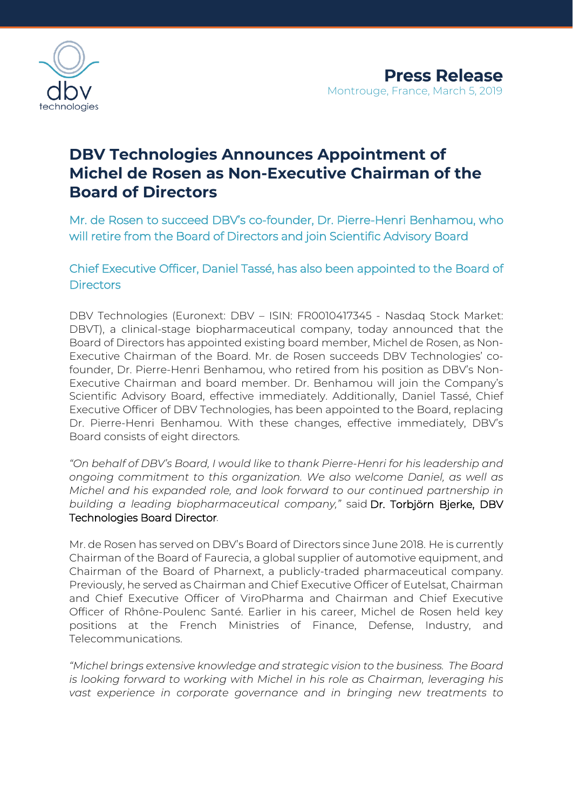

# **DBV Technologies Announces Appointment of Michel de Rosen as Non-Executive Chairman of the Board of Directors**

Mr. de Rosen to succeed DBV's co-founder, Dr. Pierre-Henri Benhamou, who will retire from the Board of Directors and join Scientific Advisory Board

Chief Executive Officer, Daniel Tassé, has also been appointed to the Board of **Directors** 

DBV Technologies (Euronext: DBV – ISIN: FR0010417345 - Nasdaq Stock Market: DBVT), a clinical-stage biopharmaceutical company, today announced that the Board of Directors has appointed existing board member, Michel de Rosen, as Non-Executive Chairman of the Board. Mr. de Rosen succeeds DBV Technologies' cofounder, Dr. Pierre-Henri Benhamou, who retired from his position as DBV's Non-Executive Chairman and board member. Dr. Benhamou will join the Company's Scientific Advisory Board, effective immediately. Additionally, Daniel Tassé, Chief Executive Officer of DBV Technologies, has been appointed to the Board, replacing Dr. Pierre-Henri Benhamou. With these changes, effective immediately, DBV's Board consists of eight directors.

*"On behalf of DBV's Board, I would like to thank Pierre-Henri for his leadership and ongoing commitment to this organization. We also welcome Daniel, as well as Michel and his expanded role, and look forward to our continued partnership in building a leading biopharmaceutical company,"* said Dr. Torbjörn Bjerke, DBV Technologies Board Director*.*

Mr. de Rosen has served on DBV's Board of Directors since June 2018. He is currently Chairman of the Board of Faurecia, a global supplier of automotive equipment, and Chairman of the Board of Pharnext, a publicly-traded pharmaceutical company. Previously, he served as Chairman and Chief Executive Officer of Eutelsat, Chairman and Chief Executive Officer of ViroPharma and Chairman and Chief Executive Officer of Rhône-Poulenc Santé. Earlier in his career, Michel de Rosen held key positions at the French Ministries of Finance, Defense, Industry, and Telecommunications.

*"Michel brings extensive knowledge and strategic vision to the business. The Board is looking forward to working with Michel in his role as Chairman, leveraging his vast experience in corporate governance and in bringing new treatments to*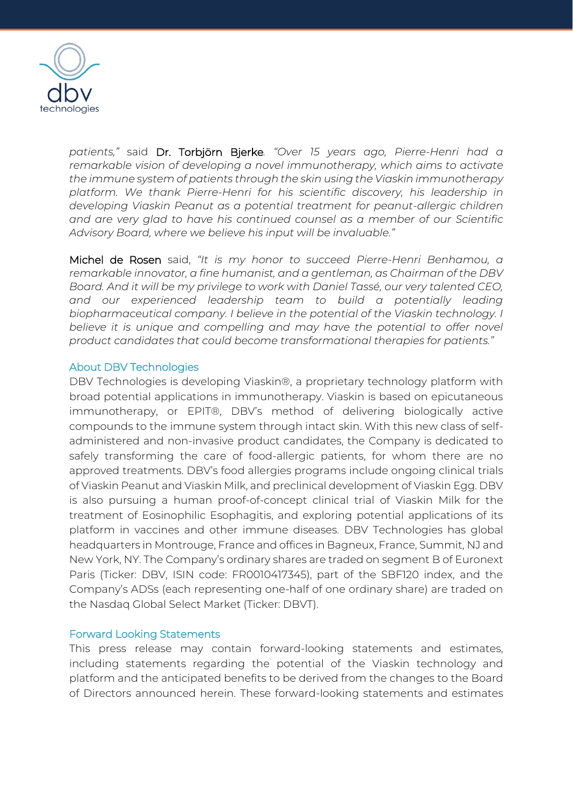

*patients,"* said Dr. Torbjörn Bjerke*. "Over 15 years ago, Pierre-Henri had a remarkable vision of developing a novel immunotherapy, which aims to activate the immune system of patients through the skin using the Viaskin immunotherapy platform. We thank Pierre-Henri for his scientific discovery, his leadership in developing Viaskin Peanut as a potential treatment for peanut-allergic children and are very glad to have his continued counsel as a member of our Scientific Advisory Board, where we believe his input will be invaluable."*

Michel de Rosen said, *"It is my honor to succeed Pierre-Henri Benhamou, a remarkable innovator, a fine humanist, and a gentleman, as Chairman of the DBV Board. And it will be my privilege to work with Daniel Tassé, our very talented CEO,*  and our experienced leadership team to build a potentially leading *biopharmaceutical company. I believe in the potential of the Viaskin technology. I*  believe it is unique and compelling and may have the potential to offer novel *product candidates that could become transformational therapies for patients."* 

### About DBV Technologies

DBV Technologies is developing Viaskin®, a proprietary technology platform with broad potential applications in immunotherapy. Viaskin is based on epicutaneous immunotherapy, or EPIT®, DBV's method of delivering biologically active compounds to the immune system through intact skin. With this new class of selfadministered and non-invasive product candidates, the Company is dedicated to safely transforming the care of food-allergic patients, for whom there are no approved treatments. DBV's food allergies programs include ongoing clinical trials of Viaskin Peanut and Viaskin Milk, and preclinical development of Viaskin Egg. DBV is also pursuing a human proof-of-concept clinical trial of Viaskin Milk for the treatment of Eosinophilic Esophagitis, and exploring potential applications of its platform in vaccines and other immune diseases. DBV Technologies has global headquarters in Montrouge, France and offices in Bagneux, France, Summit, NJ and New York, NY. The Company's ordinary shares are traded on segment B of Euronext Paris (Ticker: DBV, ISIN code: FR0010417345), part of the SBF120 index, and the Company's ADSs (each representing one-half of one ordinary share) are traded on the Nasdaq Global Select Market (Ticker: DBVT).

## Forward Looking Statements

This press release may contain forward-looking statements and estimates, including statements regarding the potential of the Viaskin technology and platform and the anticipated benefits to be derived from the changes to the Board of Directors announced herein. These forward-looking statements and estimates